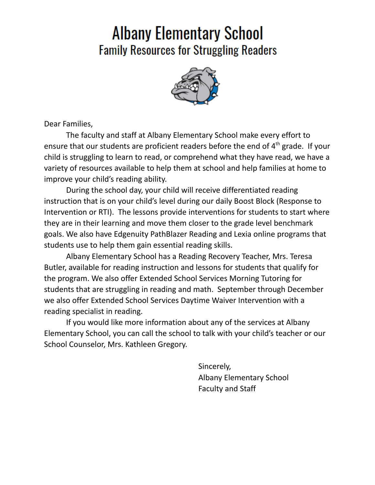## **Albany Elementary School Family Resources for Struggling Readers**



Dear Families,

The faculty and staff at Albany Elementary School make every effort to ensure that our students are proficient readers before the end of 4<sup>th</sup> grade. If your child is struggling to learn to read, or comprehend what they have read, we have a variety of resources available to help them at school and help families at home to improve your child's reading ability.

During the school day, your child will receive differentiated reading instruction that is on your child's level during our daily Boost Block (Response to Intervention or RTI). The lessons provide interventions for students to start where they are in their learning and move them closer to the grade level benchmark goals. We also have Edgenuity PathBlazer Reading and Lexia online programs that students use to help them gain essential reading skills.

Albany Elementary School has a Reading Recovery Teacher, Mrs. Teresa Butler, available for reading instruction and lessons for students that qualify for the program. We also offer Extended School Services Morning Tutoring for students that are struggling in reading and math. September through December we also offer Extended School Services Daytime Waiver Intervention with a reading specialist in reading.

If you would like more information about any of the services at Albany Elementary School, you can call the school to talk with your child's teacher or our School Counselor, Mrs. Kathleen Gregory.

> Sincerely, Albany Elementary School Faculty and Staff